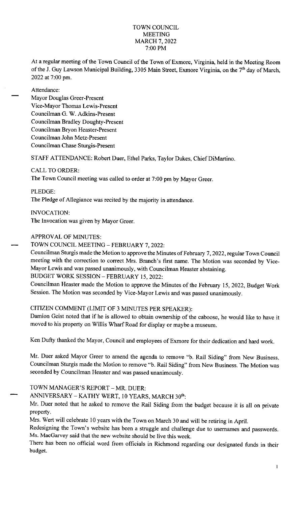### TOWN COUNCIL MEETING MARCH 7, 2022 7:00 PM

At a regular meeting of the Town Council of the Town of Exmore, Virginia, held in the Meeting Room of the J. Guy Lawson Municipal Building, 3305 Main Street, Exmore Virginia, on the 7<sup>th</sup> day of March, 2022 at 7:00 pm.

Attendance:

Mayor Douglas Greer-Present Vice-Mayor Thomas Lewis-Present Councilman G. W. Adkins-Present Councilman Bradley Doughty-Present Councilman Bryon Heaster-Present Councilman John Metz-Present Councilman Chase Sturgis-Present

STAFF ATTENDANCE: Robert Duer, Ethel Parks, Taylor Dukes, Chief DiMartino.

#### CALL TO ORDER:

The Town Council meeting was called to order at 7:00 pm by Mayor Greer.

PLEDGE:

The Pledge of Allegiance was recited by the majority in attendance.

INVOCATION: The Invocation was given by Mayor Greer.

## APPROVAL OF MINUTES:

TOWN COUNCIL MEETING - FEBRUARY 7, 2022:

Councilman Sturgis made the Motion to approve the Minutes of February 7, 2022, regular Town Council meeting with the correction to correct Mrs. Branch's first name. The Motion was seconded by Vice-Mayor Lewis and was passed unanimously, with Councilman Heaster abstaining.

# BUDGET WORK SESSION - FEBRUARY 15, 2022:

Councilman Heaster made the Motion to approve the Minutes of the February 15, 2022, Budget Work Session. The Motion was seconded by Vice-Mayor Lewis and was passed unanimously.

# CITIZEN COMMENT (LIMIT OF 3 MINUTES PER SPEAKER):

Damion Geist noted that if he is allowed to obtain ownership of the caboose, he would like to have it moved to his property on Willis Wharf Road for display or maybe a museum.

Ken Dufty thanked the Mayor, Council and employees of Exmore for their dedication and hard work.

Mr. Duer asked Mayor Greer to amend the agenda to remove "b. Rail Siding" from New Business. Councilman Sturgis made the Motion to remove "b. Rail Siding" from New Business. The Motion was seconded by Councilman Heaster and was passed unanimously.

# TOWN MANAGER'S REPORT - MR. DUER:

ANNIVERSARY - KATHY WERT, 10 YEARS, MARCH 30<sup>th</sup>:

Mr. Duer noted that he asked to remove the Rail Siding from the budget because it is all on private property.

Mrs. Wert will celebrate 10 years with the Town on March 30 and will be retiring in April.

Redesigning the Town's website has been a struggle and challenge due to usernames and passwords. Ms. MacGarvey said that the new website should be live this week.

There has been no official word from officials in Richmond regarding our designated funds in their budget.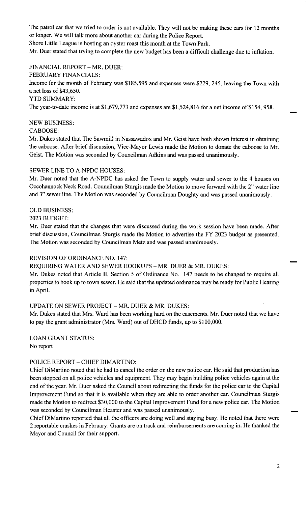The patrol car that we tried to order is not available. They will not be making these cars for 12 months or longer. We will talk more about another car during the Police Report.

Shore Little League is hosting an oyster roast this month at the Town Park.

Mr. Duer stated that trying to complete the new budget has been a difficult challenge due to inflation.

FINANCIAL REPORT - MR. DUER:

FEBRUARY FINANCIALS:

Income for the month of February was \$185,595 and expenses were \$229, 245, leaving the Town with a net loss of \$43,650.

YTD SUMMARY:

The year-to-date income is at \$1,679,773 and expenses are \$1,524,816 for a net income of \$154, 958.

### NEW BUSINESS:

CABOOSE:

Mr. Dukes stated that The Sawmill in Nassawadox and Mr. Geist have both shown interest in obtaining the caboose. After brief discussion, Vice-Mayor Lewis made the Motion to donate the caboose to Mr. Geist. The Motion was seconded by Councilman Adkins and was passed unanimously.

### SEWER LINE TO A-NPDC HOUSES:

Mr. Duer noted that the A-NPDC has asked the Town to supply water and sewer to the 4 houses on Occohannock Neck Road. Councilman Sturgis made the Motion to move forward with the 2" water line and 3" sewer line. The Motion was seconded by Councilman Doughty and was passed unanimously.

### OLD BUSINESS:

2023 BUDGET:

Mr. Duer stated that the changes that were discussed during the work session have been made. After brief discussion, Councilman Sturgis made the Motion to advertise the FY 2023 budget as presented. The Motion was seconded by Councilman Metz and was passed unanimously.

# REVISION OF ORDINANCE NO. 147:

REQUIRING WATER AND SEWER HOOKUPS - MR. DUER & MR. DUKES:

Mr. Dukes noted that Article II, Section 5 of Ordinance No. 147 needs to be changed to require all properties to hook up to town sewer. He said that the updated ordinance may be ready for Public Hearing in April.

# UPDATE ON SEWER PROJECT - MR. DUER  $&$  MR. DUKES:

Mr. Dukes stated that Mrs. Ward has been working hard on the easements. Mr. Duer noted that we have to pay the grant administrator (Mrs. Ward) out of DHCD funds, up to \$100,000.

LOAN GRANT STATUS: No report

# POLICE REPORT - CHIEF DIMARTINO:

Chief DiMartino noted that he had to cancel the order on the new police car. He said that production has been stopped on all police vehicles and equipment. They may begin building police vehicles again at the end of the year. Mr. Duer asked the Council about redirecting the funds for the police car to the Capital Improvement Fund so that it is available when they are able to order another car. Councilman Sturgis made the Motion to redirect \$30,000 to the Capital Improvement Fund for a new police car. The Motion was seconded by Councilman Heaster and was passed unanimously.

Chief DiMartino reported that all the officers are doing well and staying busy. He noted that there were 2 reportable crashes in February. Grants are on track and reimbursements are coming in. He thanked the Mayor and Council for their support.